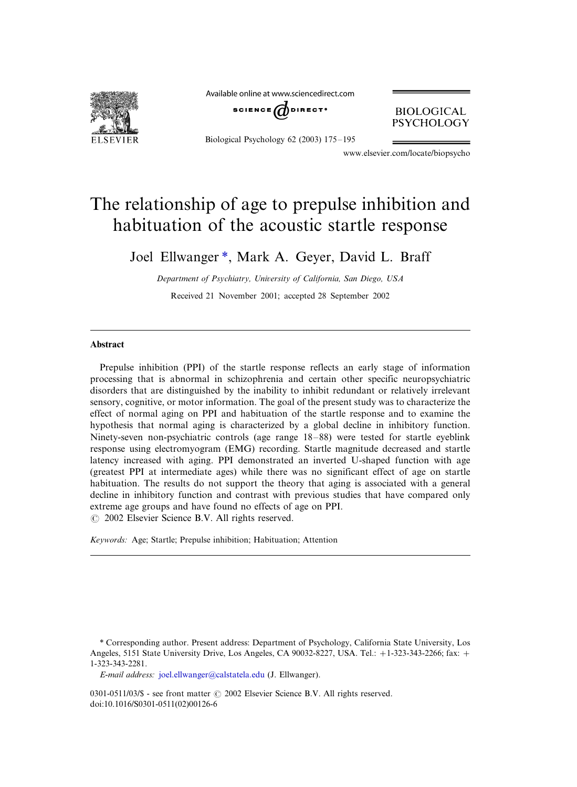

Available online at www.sciencedirect.com



Biological Psychology  $62$  (2003)  $175-195$ 

**BIOLOGICAL PSYCHOLOGY** 

www.elsevier.com/locate/biopsycho

## The relationship of age to prepulse inhibition and habituation of the acoustic startle response

Joel Ellwanger \*, Mark A. Geyer, David L. Braff

Department of Psychiatry, University of California, San Diego, USA Received 21 November 2001; accepted 28 September 2002

## Abstract

Prepulse inhibition (PPI) of the startle response reflects an early stage of information processing that is abnormal in schizophrenia and certain other specific neuropsychiatric disorders that are distinguished by the inability to inhibit redundant or relatively irrelevant sensory, cognitive, or motor information. The goal of the present study was to characterize the effect of normal aging on PPI and habituation of the startle response and to examine the hypothesis that normal aging is characterized by a global decline in inhibitory function. Ninety-seven non-psychiatric controls (age range  $18-88$ ) were tested for startle eyeblink response using electromyogram (EMG) recording. Startle magnitude decreased and startle latency increased with aging. PPI demonstrated an inverted U-shaped function with age (greatest PPI at intermediate ages) while there was no significant effect of age on startle habituation. The results do not support the theory that aging is associated with a general decline in inhibitory function and contrast with previous studies that have compared only extreme age groups and have found no effects of age on PPI.

 $\odot$  2002 Elsevier Science B.V. All rights reserved.

Keywords: Age; Startle; Prepulse inhibition; Habituation; Attention

\* Corresponding author. Present address: Department of Psychology, California State University, Los Angeles, 5151 State University Drive, Los Angeles, CA 90032-8227, USA. Tel.: +1-323-343-2266; fax: + 1-323-343-2281.

E-mail address: [joel.ellwanger@calstatela.edu](mailto:joel.ellwanger@calstatela.edu) (J. Ellwanger).

0301-0511/03/\$ - see front matter  $\odot$  2002 Elsevier Science B.V. All rights reserved. doi:10.1016/S0301-0511(02)00126-6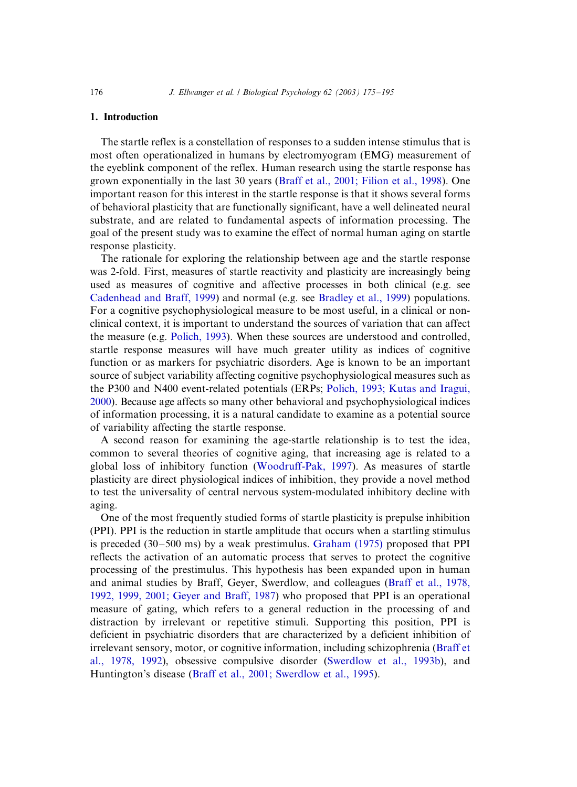## 1. Introduction

The startle reflex is a constellation of responses to a sudden intense stimulus that is most often operationalized in humans by electromyogram (EMG) measurement of the eyeblink component of the reflex. Human research using the startle response has grown exponentially in the last 30 years ([Braff et al., 2001; Filion et al., 1998\)](#page--1-0). One important reason for this interest in the startle response is that it shows several forms of behavioral plasticity that are functionally significant, have a well delineated neural substrate, and are related to fundamental aspects of information processing. The goal of the present study was to examine the effect of normal human aging on startle response plasticity.

The rationale for exploring the relationship between age and the startle response was 2-fold. First, measures of startle reactivity and plasticity are increasingly being used as measures of cognitive and affective processes in both clinical (e.g. see [Cadenhead and Braff, 1999](#page--1-0)) and normal (e.g. see [Bradley et al., 1999\)](#page--1-0) populations. For a cognitive psychophysiological measure to be most useful, in a clinical or nonclinical context, it is important to understand the sources of variation that can affect the measure (e.g. [Polich, 1993\)](#page--1-0). When these sources are understood and controlled, startle response measures will have much greater utility as indices of cognitive function or as markers for psychiatric disorders. Age is known to be an important source of subject variability affecting cognitive psychophysiological measures such as the P300 and N400 event-related potentials (ERPs; [Polich, 1993; Kutas and Iragui,](#page--1-0) [2000\)](#page--1-0). Because age affects so many other behavioral and psychophysiological indices of information processing, it is a natural candidate to examine as a potential source of variability affecting the startle response.

A second reason for examining the age-startle relationship is to test the idea, common to several theories of cognitive aging, that increasing age is related to a global loss of inhibitory function [\(Woodruff-Pak, 1997](#page--1-0)). As measures of startle plasticity are direct physiological indices of inhibition, they provide a novel method to test the universality of central nervous system-modulated inhibitory decline with aging.

One of the most frequently studied forms of startle plasticity is prepulse inhibition (PPI). PPI is the reduction in startle amplitude that occurs when a startling stimulus is preceded  $(30-500 \text{ ms})$  by a weak prestimulus. Graham  $(1975)$  proposed that PPI reflects the activation of an automatic process that serves to protect the cognitive processing of the prestimulus. This hypothesis has been expanded upon in human and animal studies by Braff, Geyer, Swerdlow, and colleagues [\(Braff et al., 1978,](#page--1-0) [1992, 1999, 2001; Geyer and Braff, 1987\)](#page--1-0) who proposed that PPI is an operational measure of gating, which refers to a general reduction in the processing of and distraction by irrelevant or repetitive stimuli. Supporting this position, PPI is deficient in psychiatric disorders that are characterized by a deficient inhibition of irrelevant sensory, motor, or cognitive information, including schizophrenia [\(Braff et](#page--1-0) [al., 1978, 1992](#page--1-0)), obsessive compulsive disorder ([Swerdlow et al., 1993b](#page--1-0)), and Huntington's disease [\(Braff et al., 2001; Swerdlow et al., 1995\)](#page--1-0).